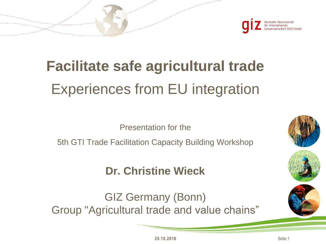

# **Facilitate safe agricultural trade** Experiences from EU integration

Presentation for the

5th GTI Trade Facilitation Capacity Building Workshop

### **Dr. Christine Wieck**

GIZ Germany (Bonn) Group "Agricultural trade and value chains"





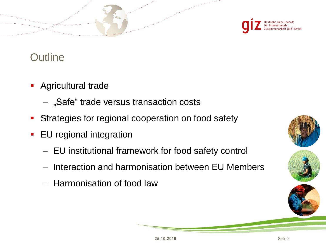

### **Outline**

- **Agricultural trade** 
	- $-$  "Safe" trade versus transaction costs
- **Strategies for regional cooperation on food safety**
- **EU** regional integration
	- EU institutional framework for food safety control
	- Interaction and harmonisation between EU Members
	- $-$  Harmonisation of food law





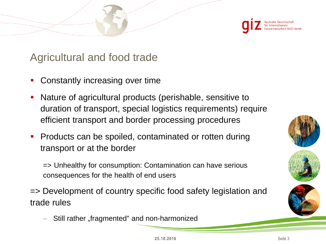

#### Agricultural and food trade

- Constantly increasing over time
- Nature of agricultural products (perishable, sensitive to duration of transport, special logistics requirements) require efficient transport and border processing procedures
- Products can be spoiled, contaminated or rotten during transport or at the border

=> Unhealthy for consumption: Contamination can have serious consequences for the health of end users

=> Development of country specific food safety legislation and trade rules

Still rather "fragmented" and non-harmonized





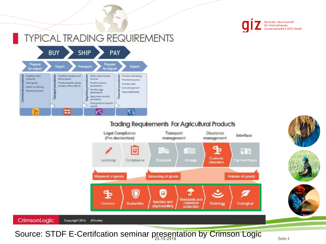

### **TYPICAL TRADING REQUIREMENTS**



#### **Trading Requirements For Agricultural Products**









CrimsonLogic Copyright 2016

Source: STDF E-Certifcation seminar presentation by Crimson Logic solution 4 Seite 4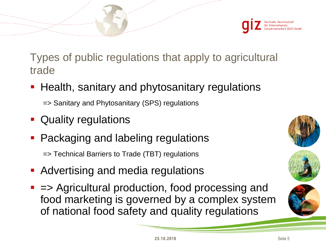

Types of public regulations that apply to agricultural trade

**Health, sanitary and phytosanitary regulations** 

=> Sanitary and Phytosanitary (SPS) regulations

- **Quality regulations**
- **Packaging and labeling regulations**

=> Technical Barriers to Trade (TBT) regulations

- **Advertising and media regulations**
- $\blacksquare$  => Agricultural production, food processing and food marketing is governed by a complex system of national food safety and quality regulations



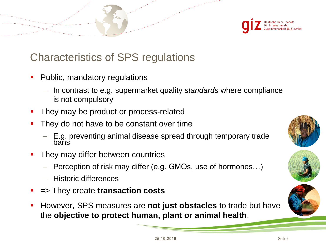

### Characteristics of SPS regulations

- Public, mandatory regulations
	- In contrast to e.g. supermarket quality *standards* where compliance is not compulsory
- They may be product or process-related
- They do not have to be constant over time
	- E.g. preventing animal disease spread through temporary trade bans
- They may differ between countries
	- Perception of risk may differ (e.g. GMOs, use of hormones…)
	- Historic differences
- => They create **transaction costs**
- However, SPS measures are **not just obstacles** to trade but have the **objective to protect human, plant or animal health**.





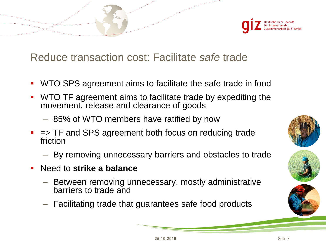

Reduce transaction cost: Facilitate *safe* trade

- WTO SPS agreement aims to facilitate the safe trade in food
- WTO TF agreement aims to facilitate trade by expediting the movement, release and clearance of goods
	- 85% of WTO members have ratified by now
- $\blacksquare$  => TF and SPS agreement both focus on reducing trade friction
	- By removing unnecessary barriers and obstacles to trade
- Need to **strike a balance** 
	- Between removing unnecessary, mostly administrative barriers to trade and
	- Facilitating trade that guarantees safe food products





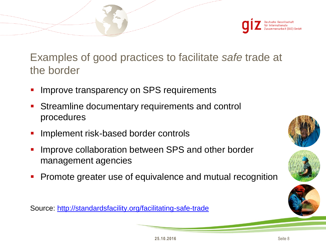

Examples of good practices to facilitate *safe* trade at the border

- Improve transparency on SPS requirements
- Streamline documentary requirements and control procedures
- Implement risk-based border controls
- Improve collaboration between SPS and other border management agencies
- **Promote greater use of equivalence and mutual recognition**

Source:<http://standardsfacility.org/facilitating-safe-trade>





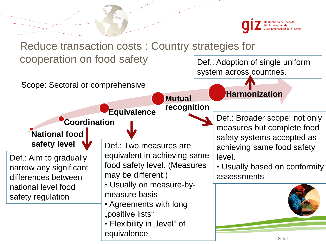

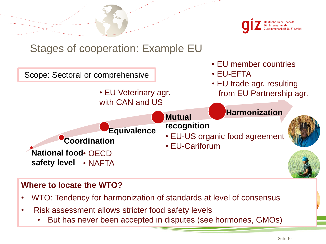

#### Stages of cooperation: Example EU



#### **Where to locate the WTO?**

- WTO: Tendency for harmonization of standards at level of consensus
- Risk assessment allows stricter food safety levels
	- But has never been accepted in disputes (see hormones, GMOs)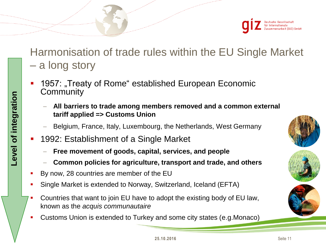

Harmonisation of trade rules within the EU Single Market – a long story

- 1957: "Treaty of Rome" established European Economic **Community** 
	- **All barriers to trade among members removed and a common external tariff applied => Customs Union**
	- Belgium, France, Italy, Luxembourg, the Netherlands, West Germany
- 1992: Establishment of a Single Market
	- **Free movement of goods, capital, services, and people**
	- **Common policies for agriculture, transport and trade, and others**
- By now, 28 countries are member of the EU
- Single Market is extended to Norway, Switzerland, Iceland (EFTA)
- Countries that want to join EU have to adopt the existing body of EU law, known as the *acquis communautaire*
- Customs Union is extended to Turkey and some city states (e.g.Monaco)





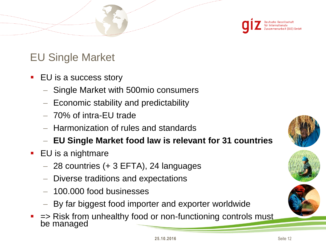

### EU Single Market

- EU is a success story
	- Single Market with 500mio consumers
	- $-$  Economic stability and predictability
	- 70% of intra-EU trade
	- Harmonization of rules and standards
	- **EU Single Market food law is relevant for 31 countries**
- **EU** is a nightmare
	- $-$  28 countries (+ 3 EFTA), 24 languages
	- Diverse traditions and expectations
	- 100.000 food businesses
	- By far biggest food importer and exporter worldwide
- $\blacksquare$  => Risk from unhealthy food or non-functioning controls must be managed





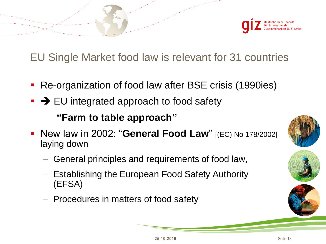

EU Single Market food law is relevant for 31 countries

- Re-organization of food law after BSE crisis (1990ies)
- $\blacktriangleright$   $\blacktriangleright$  EU integrated approach to food safety

**"Farm to table approach"**

- New law in 2002: "**General Food Law**" [(EC) No 178/2002] laying down
	- General principles and requirements of food law,
	- Establishing the European Food Safety Authority (EFSA)
	- $-$  Procedures in matters of food safety





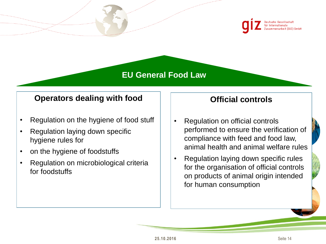

#### **EU General Food Law**

#### **Operators dealing with food**

- Regulation on the hygiene of food stuff
- Regulation laying down specific hygiene rules for
- on the hygiene of foodstuffs
- Regulation on microbiological criteria for foodstuffs

#### **Official controls**

- Regulation on official controls performed to ensure the verification of compliance with feed and food law, animal health and animal welfare rules
- Regulation laying down specific rules for the organisation of official controls on products of animal origin intended for human consumption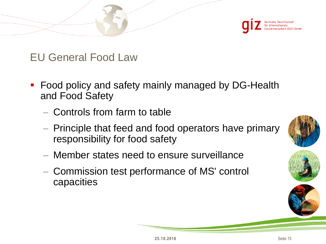

EU General Food Law

- **Food policy and safety mainly managed by DG-Health** and Food Safety
	- Controls from farm to table
	- $-$  Principle that feed and food operators have primary responsibility for food safety
	- Member states need to ensure surveillance
	- Commission test performance of MS' control capacities





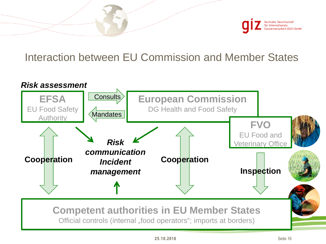

#### Interaction between EU Commission and Member States

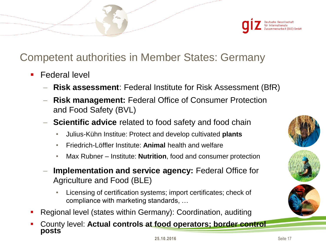![](_page_16_Picture_0.jpeg)

### Competent authorities in Member States: Germany

- Federal level
	- **Risk assessment**: Federal Institute for Risk Assessment (BfR)
	- **Risk management:** Federal Office of Consumer Protection and Food Safety (BVL)
	- **Scientific advice** related to food safety and food chain
		- Julius-Kühn Institue: Protect and develop cultivated **plants**
		- Friedrich-Löffler Institute: **Animal** health and welfare
		- Max Rubner Institute: **Nutrition**, food and consumer protection
	- **Implementation and service agency:** Federal Office for Agriculture and Food (BLE)
		- Licensing of certification systems; import certificates; check of compliance with marketing standards, …
- Regional level (states within Germany): Coordination, auditing
- County level: **Actual controls at food operators; border control posts**

![](_page_16_Picture_13.jpeg)

![](_page_16_Picture_14.jpeg)

![](_page_16_Picture_15.jpeg)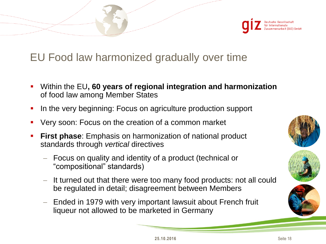![](_page_17_Picture_0.jpeg)

#### EU Food law harmonized gradually over time

- Within the EU**, 60 years of regional integration and harmonization**  of food law among Member States
- In the very beginning: Focus on agriculture production support
- Very soon: Focus on the creation of a common market
- **First phase**: Emphasis on harmonization of national product standards through *vertical* directives
	- Focus on quality and identity of a product (technical or "compositional" standards)
	- It turned out that there were too many food products: not all could be regulated in detail; disagreement between Members
	- Ended in 1979 with very important lawsuit about French fruit liqueur not allowed to be marketed in Germany

![](_page_17_Picture_9.jpeg)

![](_page_17_Picture_10.jpeg)

![](_page_17_Picture_11.jpeg)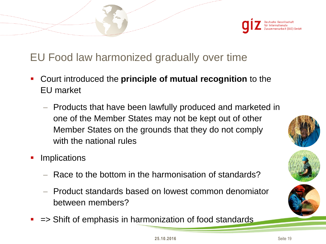![](_page_18_Picture_0.jpeg)

### EU Food law harmonized gradually over time

- Court introduced the **principle of mutual recognition** to the EU market
	- Products that have been lawfully produced and marketed in one of the Member States may not be kept out of other Member States on the grounds that they do not comply with the national rules
- Implications
	- Race to the bottom in the harmonisation of standards?
	- Product standards based on lowest common denomiator between members?
- *=>* Shift of emphasis in harmonization of food standards

![](_page_18_Picture_8.jpeg)

![](_page_18_Picture_9.jpeg)

![](_page_18_Picture_10.jpeg)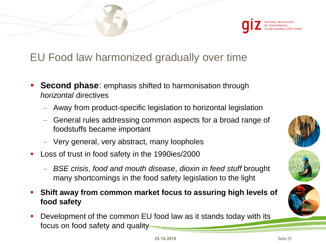![](_page_19_Picture_0.jpeg)

### EU Food law harmonized gradually over time

- **Second phase**: emphasis shifted to harmonisation through *horizontal* directives
	- Away from product-specific legislation to horizontal legislation
	- General rules addressing common aspects for a broad range of foodstuffs became important
	- Very general, very abstract, many loopholes
- **Loss of trust in food safety in the 1990ies/2000** 
	- *BSE crisis*, *food and mouth disease*, *dioxin in feed stuff* brought many shortcomings in the food safety legislation to the light
- **Shift away from common market focus to assuring high levels of food safety**
- Development of the common EU food law as it stands today with its focus on food safety and quality

![](_page_19_Picture_10.jpeg)

![](_page_19_Picture_11.jpeg)

![](_page_19_Picture_12.jpeg)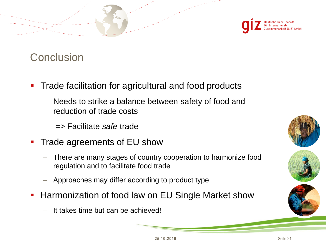![](_page_20_Picture_0.jpeg)

#### **Conclusion**

- Trade facilitation for agricultural and food products
	- Needs to strike a balance between safety of food and reduction of trade costs
	- => Facilitate *safe* trade
- **Trade agreements of EU show** 
	- There are many stages of country cooperation to harmonize food regulation and to facilitate food trade
	- Approaches may differ according to product type
- **Harmonization of food law on EU Single Market show** 
	- It takes time but can be achieved!

![](_page_20_Picture_10.jpeg)

![](_page_20_Picture_11.jpeg)

![](_page_20_Picture_12.jpeg)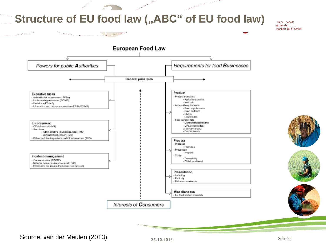#### **Structure of EU food law (,,ABC" of EU food law)**

mennesses og

Gesellschaft *ationale* :narbeit (GIZ) GmbH

![](_page_21_Figure_2.jpeg)

#### Source: van der Meulen **25.10.2016** (2013)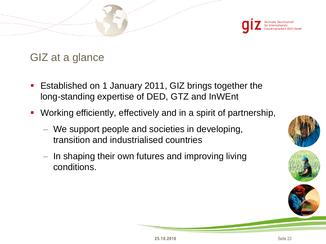![](_page_22_Picture_0.jpeg)

GIZ at a glance

- Established on 1 January 2011, GIZ brings together the long-standing expertise of DED, GTZ and InWEnt
- Working efficiently, effectively and in a spirit of partnership,
	- We support people and societies in developing, transition and industrialised countries
	- $-$  In shaping their own futures and improving living conditions.

![](_page_22_Picture_6.jpeg)

![](_page_22_Picture_7.jpeg)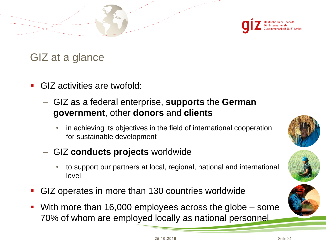![](_page_23_Picture_0.jpeg)

#### GIZ at a glance

- GIZ activities are twofold:
	- GIZ as a federal enterprise, **supports** the **German government**, other **donors** and **clients** 
		- in achieving its objectives in the field of international cooperation for sustainable development
	- GIZ **conducts projects** worldwide
		- to support our partners at local, regional, national and international level
- GIZ operates in more than 130 countries worldwide
- With more than 16,000 employees across the globe some 70% of whom are employed locally as national personnel

![](_page_23_Picture_9.jpeg)

![](_page_23_Picture_10.jpeg)

![](_page_23_Picture_11.jpeg)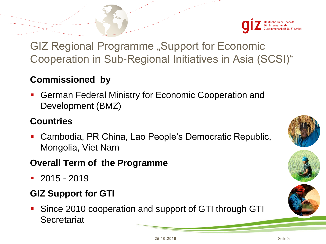![](_page_24_Picture_0.jpeg)

GIZ Regional Programme "Support for Economic Cooperation in Sub-Regional Initiatives in Asia (SCSI)"

#### **Commissioned by**

 German Federal Ministry for Economic Cooperation and Development (BMZ)

#### **Countries**

 Cambodia, PR China, Lao People's Democratic Republic, Mongolia, Viet Nam

#### **Overall Term of the Programme**

 $-2015 - 2019$ 

#### **GIZ Support for GTI**

**Since 2010 cooperation and support of GTI through GTI Secretariat** 

![](_page_24_Picture_10.jpeg)

![](_page_24_Picture_11.jpeg)

![](_page_24_Picture_12.jpeg)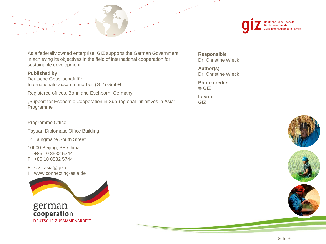![](_page_25_Picture_0.jpeg)

As a federally owned enterprise, GIZ supports the German Government in achieving its objectives in the field of international cooperation for sustainable development.

#### **Published by**

Deutsche Gesellschaft für Internationale Zusammenarbeit (GIZ) GmbH

Registered offices, Bonn and Eschborn, Germany

"Support for Economic Cooperation in Sub-regional Initiaitives in Asia" Programme

Programme Office:

Tayuan Diplomatic Office Building

14 Laingmahe South Street

10600 Beijing, PR China T +86 10 8532 5344 F +86 10 8532 5744

E scsi-asia@giz.de www.connecting-asia.de

![](_page_25_Picture_11.jpeg)

**Responsible** Dr. Christine Wieck

**Author(s)** Dr. Christine Wieck

**Photo credits** © GIZ

**Layout** GIZ

![](_page_25_Picture_16.jpeg)

![](_page_25_Picture_17.jpeg)

![](_page_25_Picture_18.jpeg)